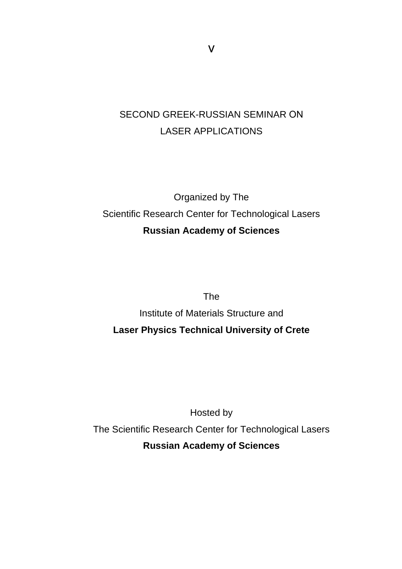## SECOND GREEK-RUSSIAN SEMINAR ΟΝ LASER APPLICATIONS

## Organized by The Scientific Research Center for Technological Lasers **Russian Academy of Sciences**

The

Institute of Materials Structure and **Laser Physics Technical University of Crete** 

Hosted by The Scientific Research Center for Technological Lasers **Russian Academy of Sciences** 

ν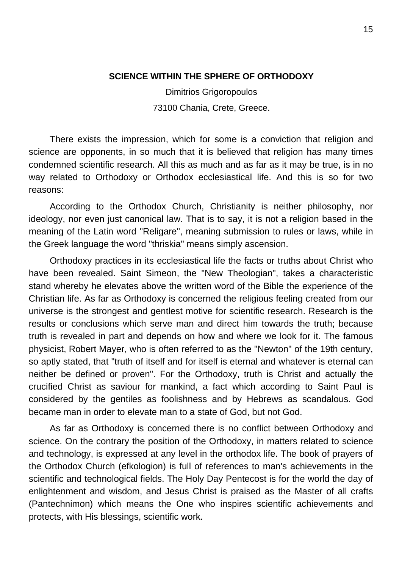## **SCIENCE WITHIN THE SPHERE OF ORTHODOXY**

Dimitrios Grigoropoulos 73100 Chania, Crete, Greece.

There exists the impression, which for some is a conviction that religion and science are opponents, in so much that it is believed that religion has many times condemned scientific research. All this as much and as far as it may be true, is in no way related to Orthodoxy or Orthodox ecclesiastical life. And this is so for two reasons:

According to the Orthodox Church, Christianity is neither philosophy, nor ideology, nor even just canonical law. That is to say, it is not a religion based in the meaning of the Latin word "Religare", meaning submission to rules or laws, while in the Greek language the word "thriskia" means simply ascension.

Orthodoxy practices in its ecclesiastical life the facts or truths about Christ who have been revealed. Saint Simeon, the "New Theologian", takes a characteristic stand whereby he elevates above the written word of the Bible the experience of the Christian life. As far as Orthodoxy is concerned the religious feeling created from our universe is the strongest and gentlest motive for scientific research. Research is the results or conclusions which serve man and direct him towards the truth; because truth is revealed in part and depends on how and where we look for it. The famous physicist, Robert Mayer, who is often referred to as the "Newton" of the 19th century, so aptly stated, that "truth of itself and for itself is eternal and whatever is eternal can neither be defined or proven". For the Orthodoxy, truth is Christ and actually the crucified Christ as saviour for mankind, a fact which according to Saint Paul is considered by the gentiles as foolishness and by Hebrews as scandalous. God became man in order to elevate man to a state of God, but not God.

As far as Orthodoxy is concerned there is no conflict between Orthodoxy and science. On the contrary the position of the Orthodoxy, in matters related to science and technology, is expressed at any level in the orthodox life. The book of prayers of the Orthodox Church (efkologion) is full of references to man's achievements in the scientific and technological fields. The Holy Day Pentecost is for the world the day of enlightenment and wisdom, and Jesus Christ is praised as the Master of all crafts (Pantechnimon) which means the One who inspires scientific achievements and protects, with His blessings, scientific work.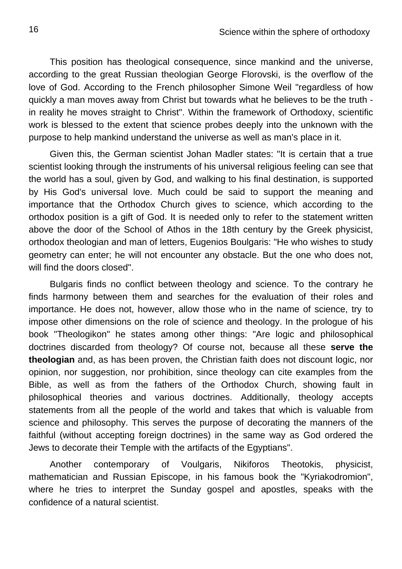This position has theological consequence, since mankind and the universe, according to the great Russian theologian George Florovski, is the overflow of the love of God. According to the French philosopher Simone Weil "regardless of how quickly a man moves away from Christ but towards what he believes to be the truth in reality he moves straight to Christ". Within the framework of Orthodoxy, scientific work is blessed to the extent that science probes deeply into the unknown with the purpose to help mankind understand the universe as well as man's place in it.

Given this, the German scientist Johan Madler states: "It is certain that a true scientist looking through the instruments of his universal religious feeling can see that the world has a soul, given by God, and walking to his final destination, is supported by His God's universal love. Much could be said to support the meaning and importance that the Orthodox Church gives to science, which according to the orthodox position is a gift of God. It is needed only to refer to the statement written above the door of the School of Athos in the 18th century by the Greek physicist, orthodox theologian and man of letters, Eugenios Boulgaris: "He who wishes to study geometry can enter; he will not encounter any obstacle. But the one who does not, will find the doors closed".

Bulgaris finds no conflict between theology and science. To the contrary he finds harmony between them and searches for the evaluation of their roles and importance. He does not, however, allow those who in the name of science, try to impose other dimensions on the role of science and theology. In the prologue of his book "Theologikon" he states among other things: "Are logic and philosophical doctrines discarded from theology? Of course not, because all these **serve the theologian** and, as has been proven, the Christian faith does not discount logic, nor opinion, nor suggestion, nor prohibition, since theology can cite examples from the Bible, as well as from the fathers of the Orthodox Church, showing fault in philosophical theories and various doctrines. Additionally, theology accepts statements from all the people of the world and takes that which is valuable from science and philosophy. This serves the purpose of decorating the manners of the faithful (without accepting foreign doctrines) in the same way as God ordered the Jews to decorate their Temple with the artifacts of the Egyptians".

Another contemporary of Voulgaris, Nikiforos Theotokis, physicist, mathematician and Russian Episcope, in his famous book the "Kyriakodromion", where he tries to interpret the Sunday gospel and apostles, speaks with the confidence of a natural scientist.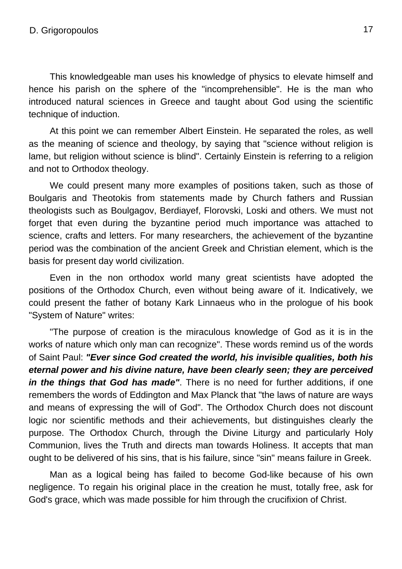This knowledgeable man uses his knowledge of physics to elevate himself and hence his parish on the sphere of the "incomprehensible". He is the man who introduced natural sciences in Greece and taught about God using the scientific technique of induction.

At this point we can remember Albert Einstein. He separated the roles, as well as the meaning of science and theology, by saying that "science without religion is lame, but religion without science is blind". Certainly Einstein is referring to a religion and not to Orthodox theology.

We could present many more examples of positions taken, such as those of Boulgaris and Theotokis from statements made by Church fathers and Russian theologists such as Boulgagov, Berdiayef, Florovski, Loski and others. We must not forget that even during the byzantine period much importance was attached to science, crafts and letters. For many researchers, the achievement of the byzantine period was the combination of the ancient Greek and Christian element, which is the basis for present day world civilization.

Even in the non orthodox world many great scientists have adopted the positions of the Orthodox Church, even without being aware of it. Indicatively, we could present the father of botany Kark Linnaeus who in the prologue of his book "System of Nature" writes:

"The purpose of creation is the miraculous knowledge of God as it is in the works of nature which only man can recognize". These words remind us of the words of Saint Paul: *"Ever since God created the world, his invisible qualities, both his eternal power and his divine nature, have been clearly seen; they are perceived in the things that God has made"*. There is no need for further additions, if one remembers the words of Eddington and Max Planck that "the laws of nature are ways and means of expressing the will of God". The Orthodox Church does not discount logic nor scientific methods and their achievements, but distinguishes clearly the purpose. The Orthodox Church, through the Divine Liturgy and particularly Holy Communion, lives the Truth and directs man towards Holiness. It accepts that man ought to be delivered of his sins, that is his failure, since "sin" means failure in Greek.

Man as a logical being has failed to become God-like because of his own negligence. To regain his original place in the creation he must, totally free, ask for God's grace, which was made possible for him through the crucifixion of Christ.